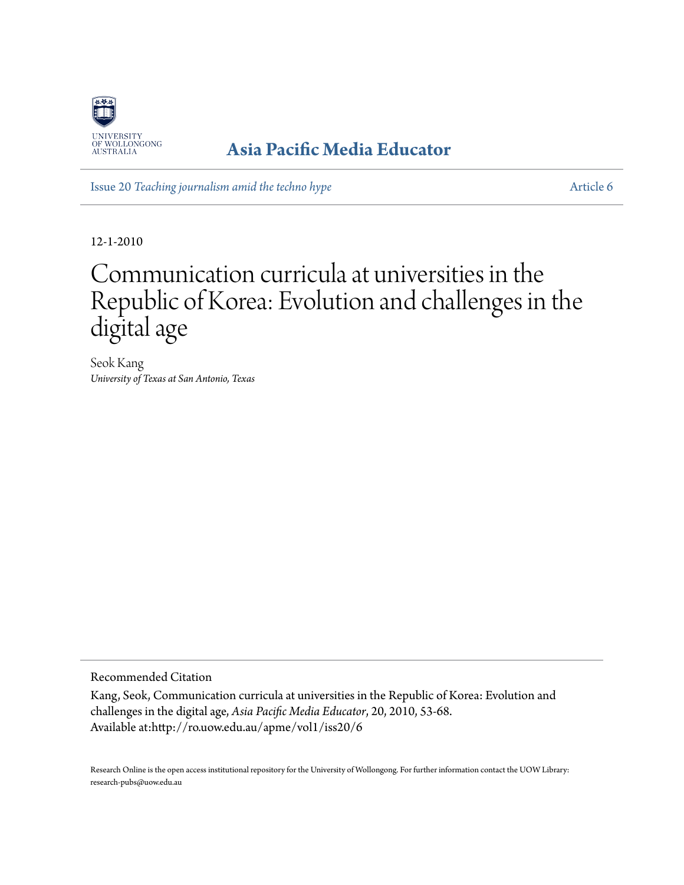

## **[Asia Pacific Media Educator](http://ro.uow.edu.au/apme)**

Issue 20 *[Teaching journalism amid the techno hype](http://ro.uow.edu.au/apme/vol1/iss20)* [Article 6](http://ro.uow.edu.au/apme/vol1/iss20/6)

12-1-2010

# Communication curricula at universities in the Republic of Korea: Evolution and challenges in the digital age

Seok Kang *University of Texas at San Antonio, Texas*

Recommended Citation

Kang, Seok, Communication curricula at universities in the Republic of Korea: Evolution and challenges in the digital age, *Asia Pacific Media Educator*, 20, 2010, 53-68. Available at:http://ro.uow.edu.au/apme/vol1/iss20/6

Research Online is the open access institutional repository for the University of Wollongong. For further information contact the UOW Library: research-pubs@uow.edu.au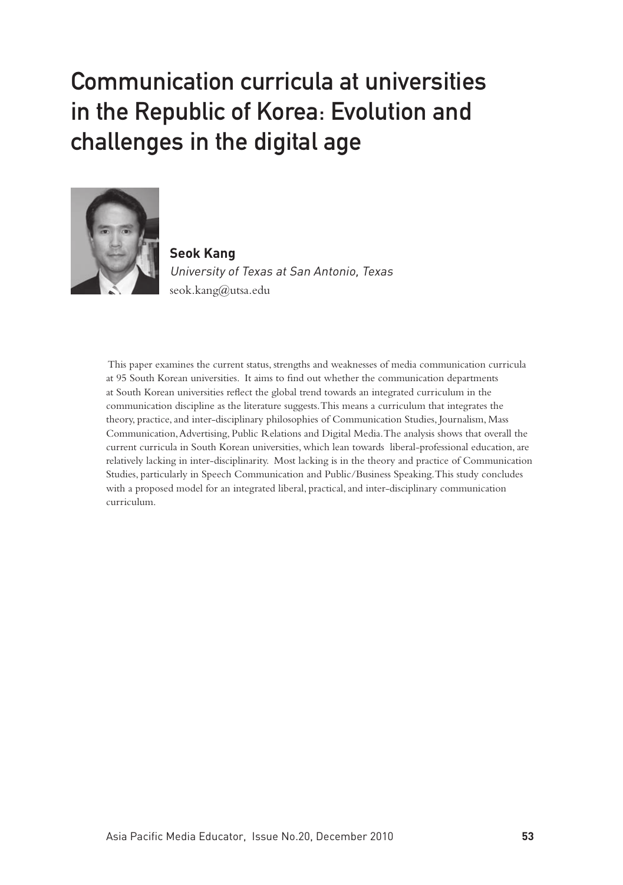# Communication curricula at universities in the Republic of Korea: Evolution and challenges in the digital age



**Seok Kang** University of Texas at San Antonio, Texas seok.kang@utsa.edu

 This paper examines the current status, strengths and weaknesses of media communication curricula at 95 South Korean universities. It aims to find out whether the communication departments at South Korean universities reflect the global trend towards an integrated curriculum in the communication discipline as the literature suggests. This means a curriculum that integrates the theory, practice, and inter-disciplinary philosophies of Communication Studies, Journalism, Mass Communication, Advertising, Public Relations and Digital Media. The analysis shows that overall the current curricula in South Korean universities, which lean towards liberal-professional education, are relatively lacking in inter-disciplinarity. Most lacking is in the theory and practice of Communication Studies, particularly in Speech Communication and Public/Business Speaking. This study concludes with a proposed model for an integrated liberal, practical, and inter-disciplinary communication curriculum.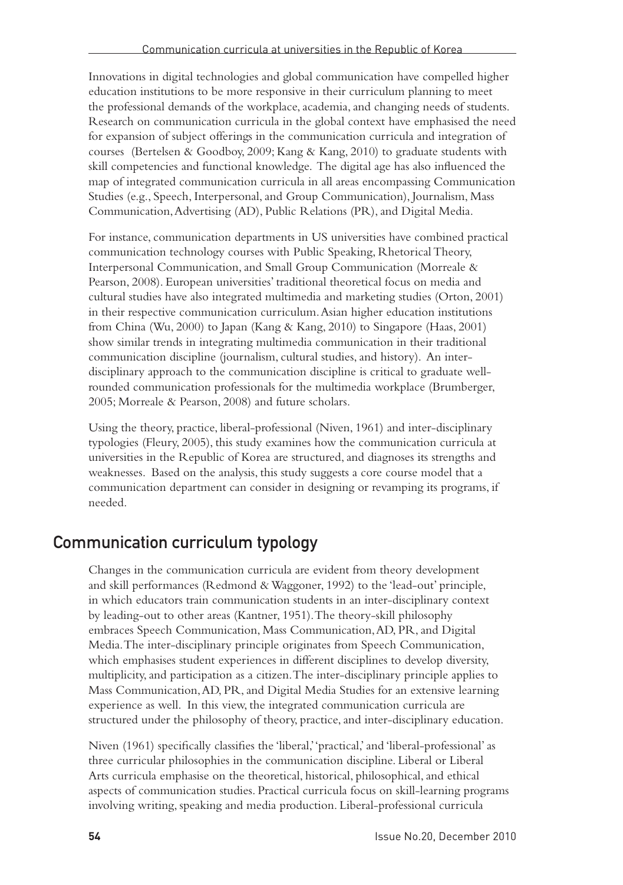Innovations in digital technologies and global communication have compelled higher education institutions to be more responsive in their curriculum planning to meet the professional demands of the workplace, academia, and changing needs of students. Research on communication curricula in the global context have emphasised the need for expansion of subject offerings in the communication curricula and integration of courses (Bertelsen & Goodboy, 2009; Kang & Kang, 2010) to graduate students with skill competencies and functional knowledge. The digital age has also influenced the map of integrated communication curricula in all areas encompassing Communication Studies (e.g., Speech, Interpersonal, and Group Communication), Journalism, Mass Communication, Advertising (AD), Public Relations (PR), and Digital Media.

For instance, communication departments in US universities have combined practical communication technology courses with Public Speaking, Rhetorical Theory, Interpersonal Communication, and Small Group Communication (Morreale & Pearson, 2008). European universities' traditional theoretical focus on media and cultural studies have also integrated multimedia and marketing studies (Orton, 2001) in their respective communication curriculum. Asian higher education institutions from China (Wu, 2000) to Japan (Kang & Kang, 2010) to Singapore (Haas, 2001) show similar trends in integrating multimedia communication in their traditional communication discipline (journalism, cultural studies, and history). An interdisciplinary approach to the communication discipline is critical to graduate wellrounded communication professionals for the multimedia workplace (Brumberger, 2005; Morreale & Pearson, 2008) and future scholars.

Using the theory, practice, liberal-professional (Niven, 1961) and inter-disciplinary typologies (Fleury, 2005), this study examines how the communication curricula at universities in the Republic of Korea are structured, and diagnoses its strengths and weaknesses. Based on the analysis, this study suggests a core course model that a communication department can consider in designing or revamping its programs, if needed.

## Communication curriculum typology

Changes in the communication curricula are evident from theory development and skill performances (Redmond & Waggoner, 1992) to the 'lead-out' principle, in which educators train communication students in an inter-disciplinary context by leading-out to other areas (Kantner, 1951). The theory-skill philosophy embraces Speech Communication, Mass Communication, AD, PR, and Digital Media. The inter-disciplinary principle originates from Speech Communication, which emphasises student experiences in different disciplines to develop diversity, multiplicity, and participation as a citizen. The inter-disciplinary principle applies to Mass Communication, AD, PR, and Digital Media Studies for an extensive learning experience as well. In this view, the integrated communication curricula are structured under the philosophy of theory, practice, and inter-disciplinary education.

Niven (1961) specifically classifies the 'liberal,' 'practical,' and 'liberal-professional' as three curricular philosophies in the communication discipline. Liberal or Liberal Arts curricula emphasise on the theoretical, historical, philosophical, and ethical aspects of communication studies. Practical curricula focus on skill-learning programs involving writing, speaking and media production. Liberal-professional curricula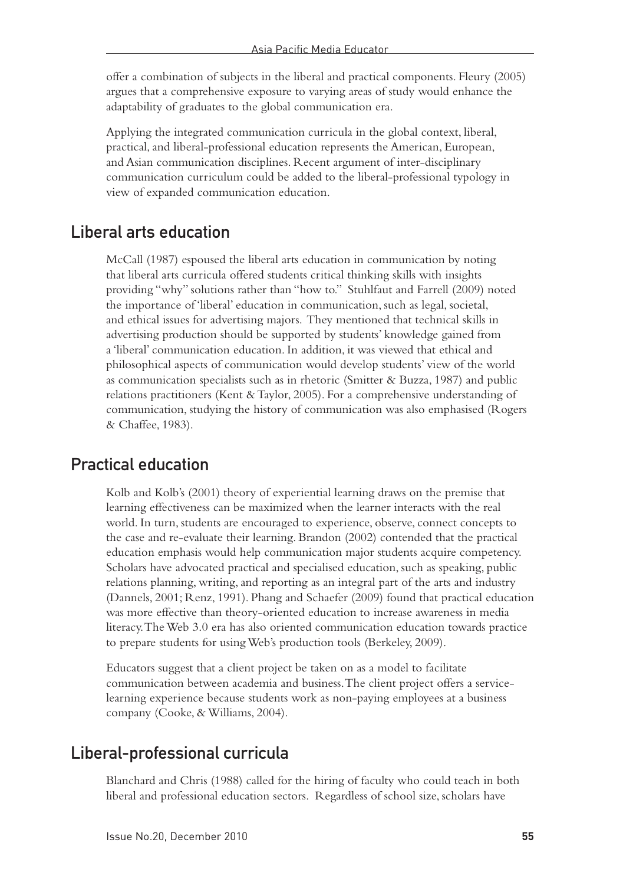offer a combination of subjects in the liberal and practical components. Fleury (2005) argues that a comprehensive exposure to varying areas of study would enhance the adaptability of graduates to the global communication era.

Applying the integrated communication curricula in the global context, liberal, practical, and liberal-professional education represents the American, European, and Asian communication disciplines. Recent argument of inter-disciplinary communication curriculum could be added to the liberal-professional typology in view of expanded communication education.

#### Liberal arts education

McCall (1987) espoused the liberal arts education in communication by noting that liberal arts curricula offered students critical thinking skills with insights providing "why" solutions rather than "how to." Stuhlfaut and Farrell (2009) noted the importance of 'liberal' education in communication, such as legal, societal, and ethical issues for advertising majors. They mentioned that technical skills in advertising production should be supported by students' knowledge gained from a 'liberal' communication education. In addition, it was viewed that ethical and philosophical aspects of communication would develop students' view of the world as communication specialists such as in rhetoric (Smitter & Buzza, 1987) and public relations practitioners (Kent & Taylor, 2005). For a comprehensive understanding of communication, studying the history of communication was also emphasised (Rogers & Chaffee, 1983).

#### Practical education

Kolb and Kolb's (2001) theory of experiential learning draws on the premise that learning effectiveness can be maximized when the learner interacts with the real world. In turn, students are encouraged to experience, observe, connect concepts to the case and re-evaluate their learning. Brandon (2002) contended that the practical education emphasis would help communication major students acquire competency. Scholars have advocated practical and specialised education, such as speaking, public relations planning, writing, and reporting as an integral part of the arts and industry (Dannels, 2001; Renz, 1991). Phang and Schaefer (2009) found that practical education was more effective than theory-oriented education to increase awareness in media literacy. The Web 3.0 era has also oriented communication education towards practice to prepare students for using Web's production tools (Berkeley, 2009).

Educators suggest that a client project be taken on as a model to facilitate communication between academia and business. The client project offers a servicelearning experience because students work as non-paying employees at a business company (Cooke, & Williams, 2004).

#### Liberal-professional curricula

Blanchard and Chris (1988) called for the hiring of faculty who could teach in both liberal and professional education sectors. Regardless of school size, scholars have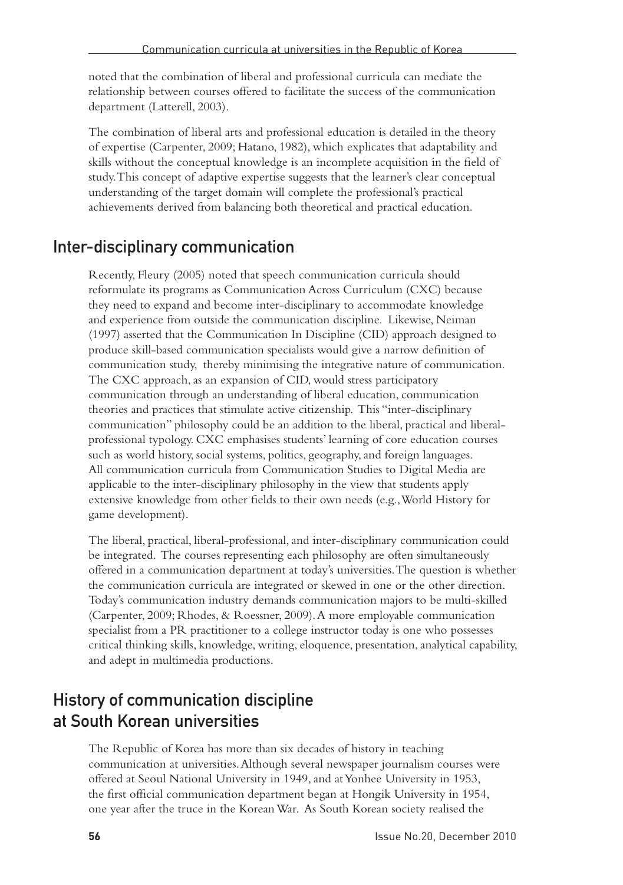noted that the combination of liberal and professional curricula can mediate the relationship between courses offered to facilitate the success of the communication department (Latterell, 2003).

The combination of liberal arts and professional education is detailed in the theory of expertise (Carpenter, 2009; Hatano, 1982), which explicates that adaptability and skills without the conceptual knowledge is an incomplete acquisition in the field of study. This concept of adaptive expertise suggests that the learner's clear conceptual understanding of the target domain will complete the professional's practical achievements derived from balancing both theoretical and practical education.

### Inter-disciplinary communication

Recently, Fleury (2005) noted that speech communication curricula should reformulate its programs as Communication Across Curriculum (CXC) because they need to expand and become inter-disciplinary to accommodate knowledge and experience from outside the communication discipline. Likewise, Neiman (1997) asserted that the Communication In Discipline (CID) approach designed to produce skill-based communication specialists would give a narrow definition of communication study, thereby minimising the integrative nature of communication. The CXC approach, as an expansion of CID, would stress participatory communication through an understanding of liberal education, communication theories and practices that stimulate active citizenship. This "inter-disciplinary communication" philosophy could be an addition to the liberal, practical and liberalprofessional typology. CXC emphasises students' learning of core education courses such as world history, social systems, politics, geography, and foreign languages. All communication curricula from Communication Studies to Digital Media are applicable to the inter-disciplinary philosophy in the view that students apply extensive knowledge from other fields to their own needs (e.g., World History for game development).

The liberal, practical, liberal-professional, and inter-disciplinary communication could be integrated. The courses representing each philosophy are often simultaneously offered in a communication department at today's universities. The question is whether the communication curricula are integrated or skewed in one or the other direction. Today's communication industry demands communication majors to be multi-skilled (Carpenter, 2009; Rhodes, & Roessner, 2009). A more employable communication specialist from a PR practitioner to a college instructor today is one who possesses critical thinking skills, knowledge, writing, eloquence, presentation, analytical capability, and adept in multimedia productions.

## History of communication discipline at South Korean universities

The Republic of Korea has more than six decades of history in teaching communication at universities. Although several newspaper journalism courses were offered at Seoul National University in 1949, and at Yonhee University in 1953, the first official communication department began at Hongik University in 1954, one year after the truce in the Korean War. As South Korean society realised the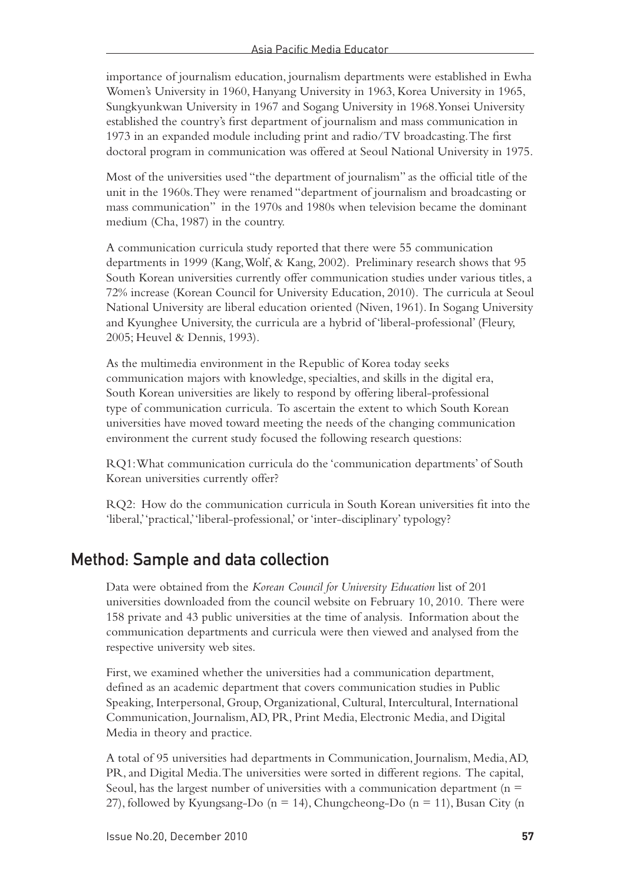importance of journalism education, journalism departments were established in Ewha Women's University in 1960, Hanyang University in 1963, Korea University in 1965, Sungkyunkwan University in 1967 and Sogang University in 1968. Yonsei University established the country's first department of journalism and mass communication in 1973 in an expanded module including print and radio/TV broadcasting. The first doctoral program in communication was offered at Seoul National University in 1975.

Most of the universities used "the department of journalism" as the official title of the unit in the 1960s. They were renamed "department of journalism and broadcasting or mass communication" in the 1970s and 1980s when television became the dominant medium (Cha, 1987) in the country.

A communication curricula study reported that there were 55 communication departments in 1999 (Kang, Wolf, & Kang, 2002). Preliminary research shows that 95 South Korean universities currently offer communication studies under various titles, a 72% increase (Korean Council for University Education, 2010). The curricula at Seoul National University are liberal education oriented (Niven, 1961). In Sogang University and Kyunghee University, the curricula are a hybrid of 'liberal-professional' (Fleury, 2005; Heuvel & Dennis, 1993).

As the multimedia environment in the Republic of Korea today seeks communication majors with knowledge, specialties, and skills in the digital era, South Korean universities are likely to respond by offering liberal-professional type of communication curricula. To ascertain the extent to which South Korean universities have moved toward meeting the needs of the changing communication environment the current study focused the following research questions:

RQ1: What communication curricula do the 'communication departments' of South Korean universities currently offer?

RQ2: How do the communication curricula in South Korean universities fit into the 'liberal,' 'practical,' 'liberal-professional,' or 'inter-disciplinary' typology?

#### Method: Sample and data collection

Data were obtained from the *Korean Council for University Education* list of 201 universities downloaded from the council website on February 10, 2010. There were 158 private and 43 public universities at the time of analysis. Information about the communication departments and curricula were then viewed and analysed from the respective university web sites.

First, we examined whether the universities had a communication department, defined as an academic department that covers communication studies in Public Speaking, Interpersonal, Group, Organizational, Cultural, Intercultural, International Communication, Journalism, AD, PR, Print Media, Electronic Media, and Digital Media in theory and practice.

A total of 95 universities had departments in Communication, Journalism, Media, AD, PR, and Digital Media. The universities were sorted in different regions. The capital, Seoul, has the largest number of universities with a communication department ( $n =$ 27), followed by Kyungsang-Do (n = 14), Chungcheong-Do (n = 11), Busan City (n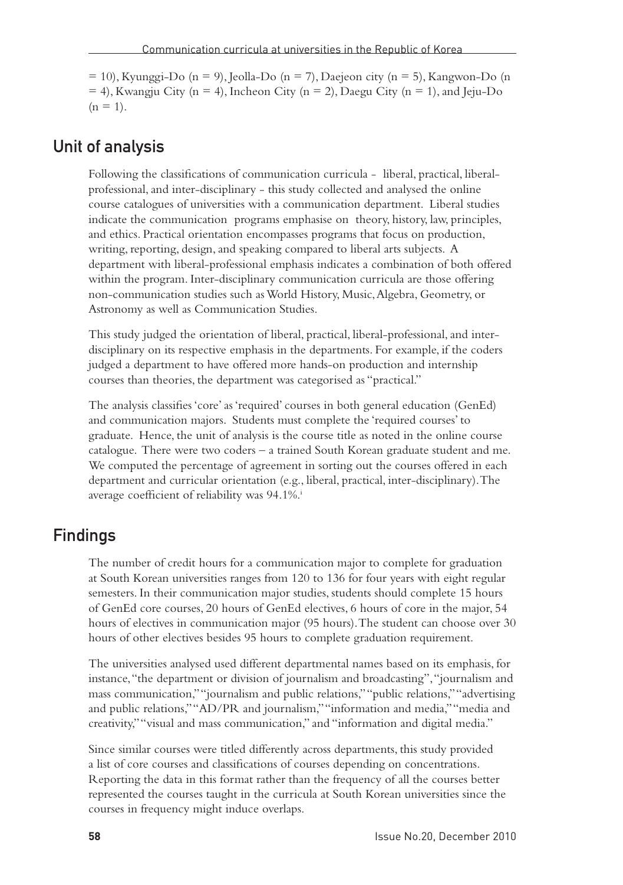$= 10$ ), Kyunggi-Do (n = 9), Jeolla-Do (n = 7), Daejeon city (n = 5), Kangwon-Do (n  $= 4$ ), Kwangju City (n = 4), Incheon City (n = 2), Daegu City (n = 1), and Jeju-Do  $(n = 1)$ .

#### Unit of analysis

Following the classifications of communication curricula - liberal, practical, liberalprofessional, and inter-disciplinary - this study collected and analysed the online course catalogues of universities with a communication department. Liberal studies indicate the communication programs emphasise on theory, history, law, principles, and ethics. Practical orientation encompasses programs that focus on production, writing, reporting, design, and speaking compared to liberal arts subjects. A department with liberal-professional emphasis indicates a combination of both offered within the program. Inter-disciplinary communication curricula are those offering non-communication studies such as World History, Music, Algebra, Geometry, or Astronomy as well as Communication Studies.

This study judged the orientation of liberal, practical, liberal-professional, and interdisciplinary on its respective emphasis in the departments. For example, if the coders judged a department to have offered more hands-on production and internship courses than theories, the department was categorised as "practical."

The analysis classifies 'core' as 'required' courses in both general education (GenEd) and communication majors. Students must complete the 'required courses' to graduate. Hence, the unit of analysis is the course title as noted in the online course catalogue. There were two coders – a trained South Korean graduate student and me. We computed the percentage of agreement in sorting out the courses offered in each department and curricular orientation (e.g., liberal, practical, inter-disciplinary). The average coefficient of reliability was 94.1%.

## Findings

The number of credit hours for a communication major to complete for graduation at South Korean universities ranges from 120 to 136 for four years with eight regular semesters. In their communication major studies, students should complete 15 hours of GenEd core courses, 20 hours of GenEd electives, 6 hours of core in the major, 54 hours of electives in communication major (95 hours). The student can choose over 30 hours of other electives besides 95 hours to complete graduation requirement.

The universities analysed used different departmental names based on its emphasis, for instance, "the department or division of journalism and broadcasting", "journalism and mass communication," "journalism and public relations," "public relations," "advertising and public relations," "AD/PR and journalism," "information and media," "media and creativity," "visual and mass communication," and "information and digital media."

Since similar courses were titled differently across departments, this study provided a list of core courses and classifications of courses depending on concentrations. Reporting the data in this format rather than the frequency of all the courses better represented the courses taught in the curricula at South Korean universities since the courses in frequency might induce overlaps.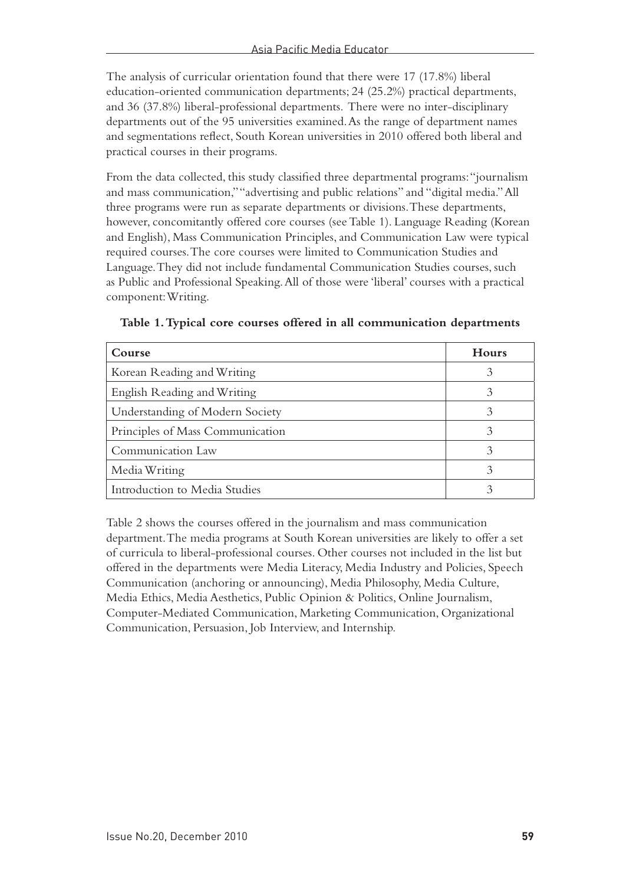The analysis of curricular orientation found that there were 17 (17.8%) liberal education-oriented communication departments; 24 (25.2%) practical departments, and 36 (37.8%) liberal-professional departments. There were no inter-disciplinary departments out of the 95 universities examined. As the range of department names and segmentations reflect, South Korean universities in 2010 offered both liberal and practical courses in their programs.

From the data collected, this study classified three departmental programs: "journalism and mass communication," "advertising and public relations" and "digital media." All three programs were run as separate departments or divisions. These departments, however, concomitantly offered core courses (see Table 1). Language Reading (Korean and English), Mass Communication Principles, and Communication Law were typical required courses. The core courses were limited to Communication Studies and Language. They did not include fundamental Communication Studies courses, such as Public and Professional Speaking. All of those were 'liberal' courses with a practical component: Writing.

| Course                           | Hours |
|----------------------------------|-------|
| Korean Reading and Writing       |       |
| English Reading and Writing      |       |
| Understanding of Modern Society  |       |
| Principles of Mass Communication |       |
| Communication Law                |       |
| Media Writing                    |       |
| Introduction to Media Studies    |       |

**Table 1. Typical core courses offered in all communication departments**

Table 2 shows the courses offered in the journalism and mass communication department. The media programs at South Korean universities are likely to offer a set of curricula to liberal-professional courses. Other courses not included in the list but offered in the departments were Media Literacy, Media Industry and Policies, Speech Communication (anchoring or announcing), Media Philosophy, Media Culture, Media Ethics, Media Aesthetics, Public Opinion & Politics, Online Journalism, Computer-Mediated Communication, Marketing Communication, Organizational Communication, Persuasion, Job Interview, and Internship.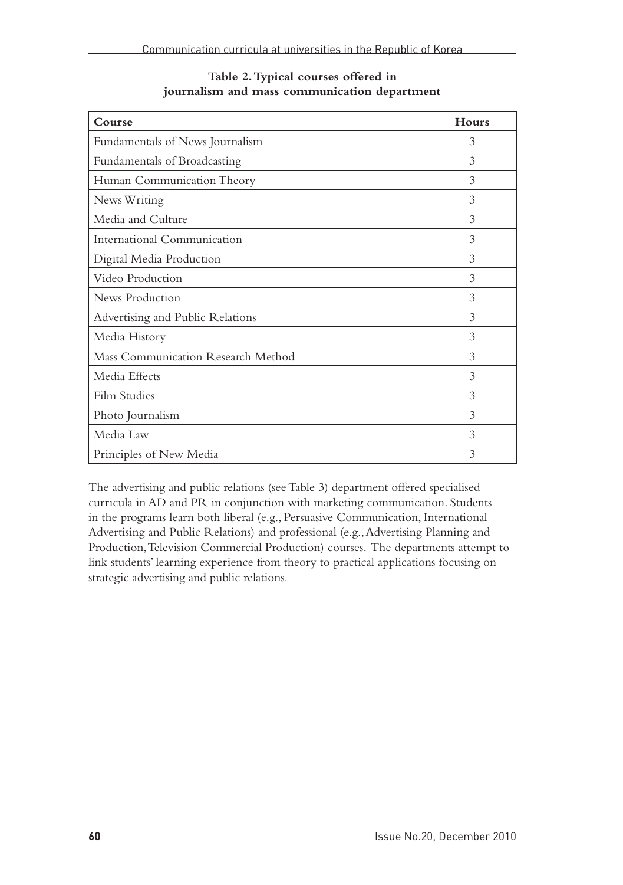| Course                             | Hours |
|------------------------------------|-------|
| Fundamentals of News Journalism    | 3     |
| Fundamentals of Broadcasting       | 3     |
| Human Communication Theory         | 3     |
| News Writing                       | 3     |
| Media and Culture                  | 3     |
| International Communication        | 3     |
| Digital Media Production           | 3     |
| Video Production                   | 3     |
| News Production                    | 3     |
| Advertising and Public Relations   | 3     |
| Media History                      | 3     |
| Mass Communication Research Method | 3     |
| Media Effects                      | 3     |
| Film Studies                       | 3     |
| Photo Journalism                   | 3     |
| Media Law                          | 3     |
| Principles of New Media            | 3     |

**Table 2. Typical courses offered in journalism and mass communication department**

The advertising and public relations (see Table 3) department offered specialised curricula in AD and PR in conjunction with marketing communication. Students in the programs learn both liberal (e.g., Persuasive Communication, International Advertising and Public Relations) and professional (e.g., Advertising Planning and Production, Television Commercial Production) courses. The departments attempt to link students' learning experience from theory to practical applications focusing on strategic advertising and public relations.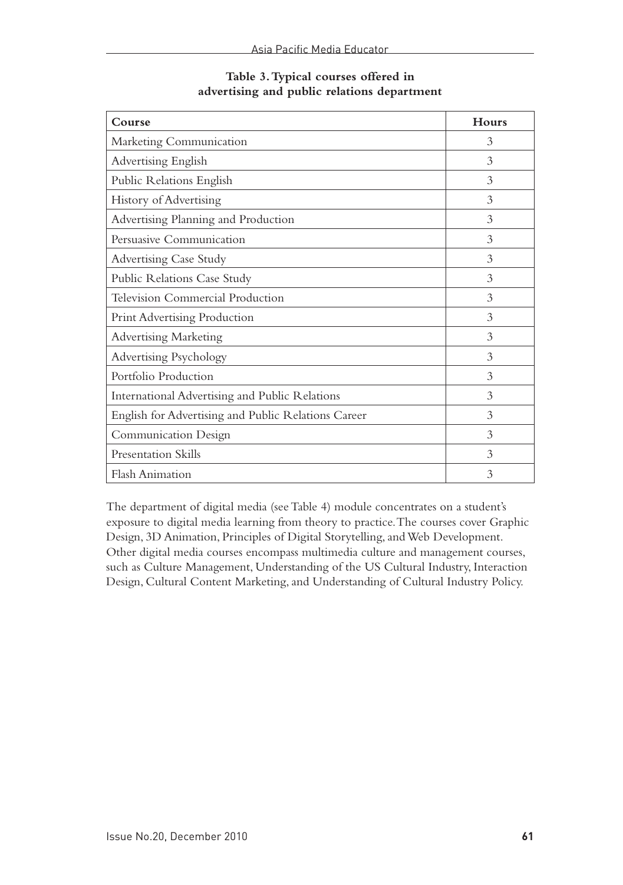| Course                                              | <b>Hours</b> |
|-----------------------------------------------------|--------------|
| Marketing Communication                             | 3            |
| Advertising English                                 | 3            |
| Public Relations English                            | 3            |
| History of Advertising                              | 3            |
| Advertising Planning and Production                 | 3            |
| Persuasive Communication                            | 3            |
| Advertising Case Study                              | 3            |
| Public Relations Case Study                         | 3            |
| Television Commercial Production                    | 3            |
| <b>Print Advertising Production</b>                 | 3            |
| <b>Advertising Marketing</b>                        | 3            |
| Advertising Psychology                              | 3            |
| Portfolio Production                                | 3            |
| International Advertising and Public Relations      | 3            |
| English for Advertising and Public Relations Career | 3            |
| Communication Design                                | 3            |
| Presentation Skills                                 | 3            |
| <b>Flash Animation</b>                              | 3            |

#### **Table 3. Typical courses offered in advertising and public relations department**

The department of digital media (see Table 4) module concentrates on a student's exposure to digital media learning from theory to practice. The courses cover Graphic Design, 3D Animation, Principles of Digital Storytelling, and Web Development. Other digital media courses encompass multimedia culture and management courses, such as Culture Management, Understanding of the US Cultural Industry, Interaction Design, Cultural Content Marketing, and Understanding of Cultural Industry Policy.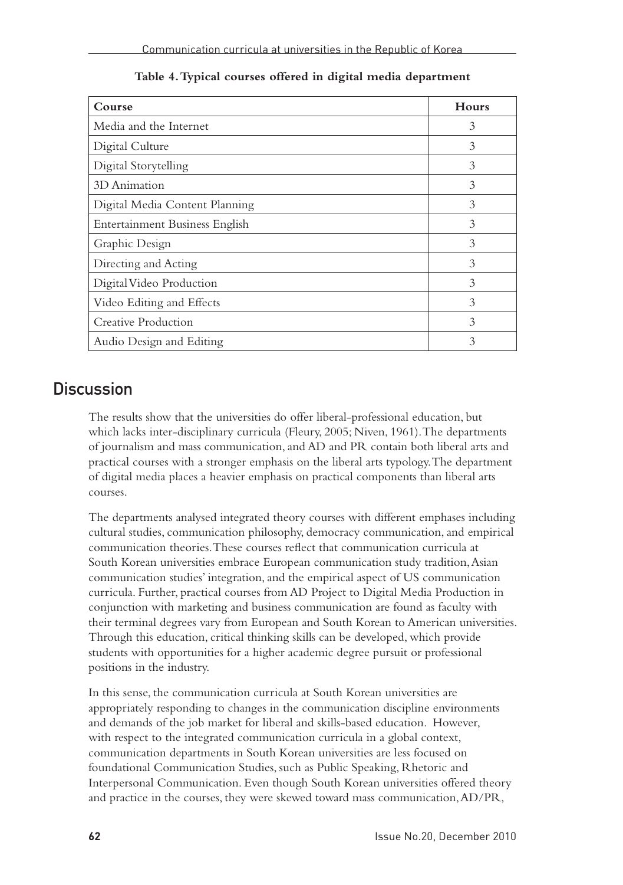| Course                         | <b>Hours</b> |
|--------------------------------|--------------|
| Media and the Internet         | 3            |
| Digital Culture                | 3            |
| Digital Storytelling           | 3            |
| 3D Animation                   | 3            |
| Digital Media Content Planning | 3            |
| Entertainment Business English | 3            |
| Graphic Design                 | 3            |
| Directing and Acting           | 3            |
| Digital Video Production       | 3            |
| Video Editing and Effects      | 3            |
| Creative Production            | 3            |
| Audio Design and Editing       | 3            |

**Table 4. Typical courses offered in digital media department**

### **Discussion**

The results show that the universities do offer liberal-professional education, but which lacks inter-disciplinary curricula (Fleury, 2005; Niven, 1961). The departments of journalism and mass communication, and AD and PR contain both liberal arts and practical courses with a stronger emphasis on the liberal arts typology. The department of digital media places a heavier emphasis on practical components than liberal arts courses.

The departments analysed integrated theory courses with different emphases including cultural studies, communication philosophy, democracy communication, and empirical communication theories. These courses reflect that communication curricula at South Korean universities embrace European communication study tradition, Asian communication studies' integration, and the empirical aspect of US communication curricula. Further, practical courses from AD Project to Digital Media Production in conjunction with marketing and business communication are found as faculty with their terminal degrees vary from European and South Korean to American universities. Through this education, critical thinking skills can be developed, which provide students with opportunities for a higher academic degree pursuit or professional positions in the industry.

In this sense, the communication curricula at South Korean universities are appropriately responding to changes in the communication discipline environments and demands of the job market for liberal and skills-based education. However, with respect to the integrated communication curricula in a global context, communication departments in South Korean universities are less focused on foundational Communication Studies, such as Public Speaking, Rhetoric and Interpersonal Communication. Even though South Korean universities offered theory and practice in the courses, they were skewed toward mass communication, AD/PR,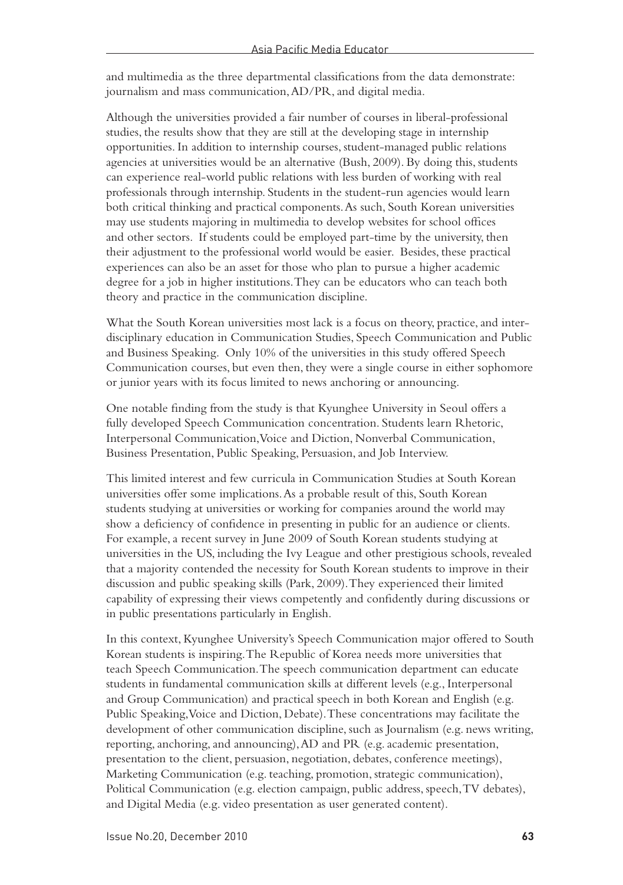and multimedia as the three departmental classifications from the data demonstrate: journalism and mass communication, AD/PR, and digital media.

Although the universities provided a fair number of courses in liberal-professional studies, the results show that they are still at the developing stage in internship opportunities. In addition to internship courses, student-managed public relations agencies at universities would be an alternative (Bush, 2009). By doing this, students can experience real-world public relations with less burden of working with real professionals through internship. Students in the student-run agencies would learn both critical thinking and practical components. As such, South Korean universities may use students majoring in multimedia to develop websites for school offices and other sectors. If students could be employed part-time by the university, then their adjustment to the professional world would be easier. Besides, these practical experiences can also be an asset for those who plan to pursue a higher academic degree for a job in higher institutions. They can be educators who can teach both theory and practice in the communication discipline.

What the South Korean universities most lack is a focus on theory, practice, and interdisciplinary education in Communication Studies, Speech Communication and Public and Business Speaking. Only 10% of the universities in this study offered Speech Communication courses, but even then, they were a single course in either sophomore or junior years with its focus limited to news anchoring or announcing.

One notable finding from the study is that Kyunghee University in Seoul offers a fully developed Speech Communication concentration. Students learn Rhetoric, Interpersonal Communication, Voice and Diction, Nonverbal Communication, Business Presentation, Public Speaking, Persuasion, and Job Interview.

This limited interest and few curricula in Communication Studies at South Korean universities offer some implications. As a probable result of this, South Korean students studying at universities or working for companies around the world may show a deficiency of confidence in presenting in public for an audience or clients. For example, a recent survey in June 2009 of South Korean students studying at universities in the US, including the Ivy League and other prestigious schools, revealed that a majority contended the necessity for South Korean students to improve in their discussion and public speaking skills (Park, 2009). They experienced their limited capability of expressing their views competently and confidently during discussions or in public presentations particularly in English.

In this context, Kyunghee University's Speech Communication major offered to South Korean students is inspiring. The Republic of Korea needs more universities that teach Speech Communication. The speech communication department can educate students in fundamental communication skills at different levels (e.g., Interpersonal and Group Communication) and practical speech in both Korean and English (e.g. Public Speaking, Voice and Diction, Debate). These concentrations may facilitate the development of other communication discipline, such as Journalism (e.g. news writing, reporting, anchoring, and announcing), AD and PR (e.g. academic presentation, presentation to the client, persuasion, negotiation, debates, conference meetings), Marketing Communication (e.g. teaching, promotion, strategic communication), Political Communication (e.g. election campaign, public address, speech, TV debates), and Digital Media (e.g. video presentation as user generated content).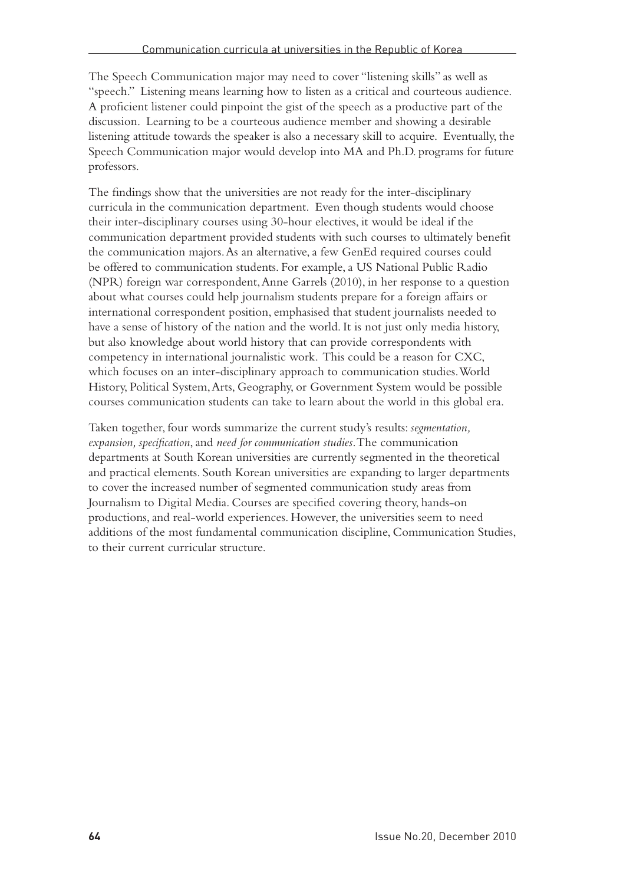The Speech Communication major may need to cover "listening skills" as well as "speech." Listening means learning how to listen as a critical and courteous audience. A proficient listener could pinpoint the gist of the speech as a productive part of the discussion. Learning to be a courteous audience member and showing a desirable listening attitude towards the speaker is also a necessary skill to acquire. Eventually, the Speech Communication major would develop into MA and Ph.D. programs for future professors.

The findings show that the universities are not ready for the inter-disciplinary curricula in the communication department. Even though students would choose their inter-disciplinary courses using 30-hour electives, it would be ideal if the communication department provided students with such courses to ultimately benefit the communication majors. As an alternative, a few GenEd required courses could be offered to communication students. For example, a US National Public Radio (NPR) foreign war correspondent, Anne Garrels (2010), in her response to a question about what courses could help journalism students prepare for a foreign affairs or international correspondent position, emphasised that student journalists needed to have a sense of history of the nation and the world. It is not just only media history, but also knowledge about world history that can provide correspondents with competency in international journalistic work. This could be a reason for CXC, which focuses on an inter-disciplinary approach to communication studies. World History, Political System, Arts, Geography, or Government System would be possible courses communication students can take to learn about the world in this global era.

Taken together, four words summarize the current study's results: *segmentation, expansion, specification*, and *need for communication studies*. The communication departments at South Korean universities are currently segmented in the theoretical and practical elements. South Korean universities are expanding to larger departments to cover the increased number of segmented communication study areas from Journalism to Digital Media. Courses are specified covering theory, hands-on productions, and real-world experiences. However, the universities seem to need additions of the most fundamental communication discipline, Communication Studies, to their current curricular structure.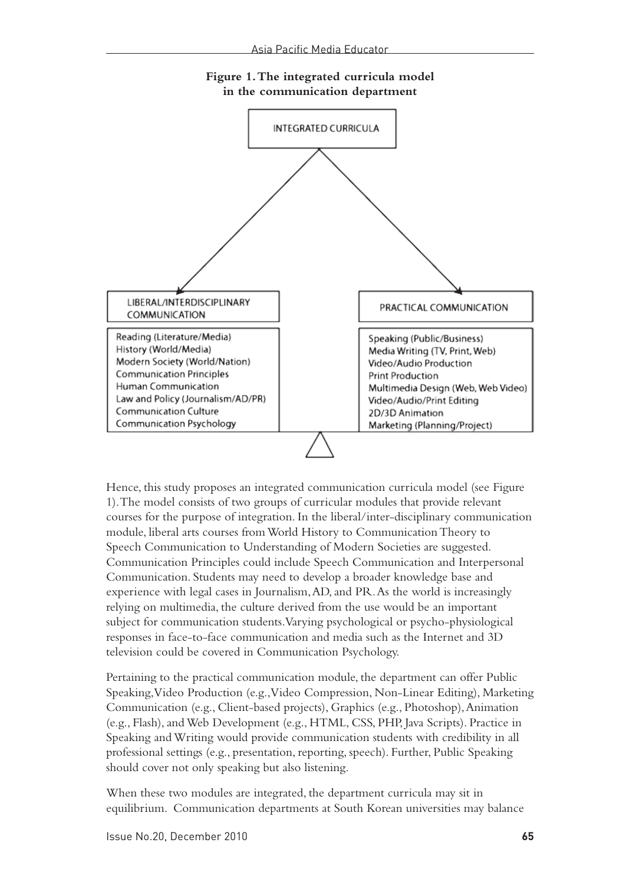

#### **Figure 1. The integrated curricula model in the communication department**

Hence, this study proposes an integrated communication curricula model (see Figure 1). The model consists of two groups of curricular modules that provide relevant courses for the purpose of integration. In the liberal/inter-disciplinary communication module, liberal arts courses from World History to Communication Theory to Speech Communication to Understanding of Modern Societies are suggested. Communication Principles could include Speech Communication and Interpersonal Communication. Students may need to develop a broader knowledge base and experience with legal cases in Journalism, AD, and PR. As the world is increasingly relying on multimedia, the culture derived from the use would be an important subject for communication students. Varying psychological or psycho-physiological responses in face-to-face communication and media such as the Internet and 3D television could be covered in Communication Psychology.

Pertaining to the practical communication module, the department can offer Public Speaking, Video Production (e.g., Video Compression, Non-Linear Editing), Marketing Communication (e.g., Client-based projects), Graphics (e.g., Photoshop), Animation (e.g., Flash), and Web Development (e.g., HTML, CSS, PHP, Java Scripts). Practice in Speaking and Writing would provide communication students with credibility in all professional settings (e.g., presentation, reporting, speech). Further, Public Speaking should cover not only speaking but also listening.

When these two modules are integrated, the department curricula may sit in equilibrium. Communication departments at South Korean universities may balance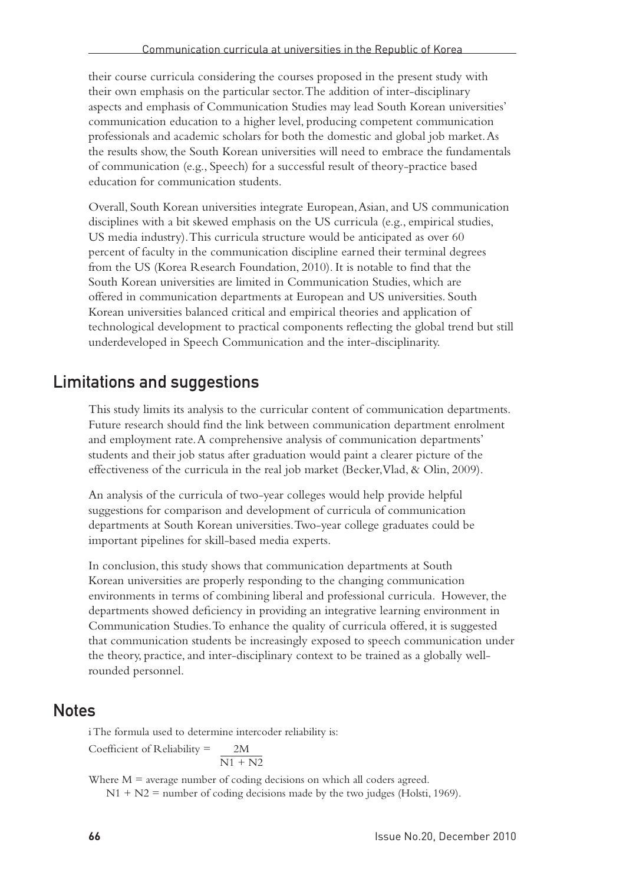their course curricula considering the courses proposed in the present study with their own emphasis on the particular sector. The addition of inter-disciplinary aspects and emphasis of Communication Studies may lead South Korean universities' communication education to a higher level, producing competent communication professionals and academic scholars for both the domestic and global job market. As the results show, the South Korean universities will need to embrace the fundamentals of communication (e.g., Speech) for a successful result of theory-practice based education for communication students.

Overall, South Korean universities integrate European, Asian, and US communication disciplines with a bit skewed emphasis on the US curricula (e.g., empirical studies, US media industry). This curricula structure would be anticipated as over 60 percent of faculty in the communication discipline earned their terminal degrees from the US (Korea Research Foundation, 2010). It is notable to find that the South Korean universities are limited in Communication Studies, which are offered in communication departments at European and US universities. South Korean universities balanced critical and empirical theories and application of technological development to practical components reflecting the global trend but still underdeveloped in Speech Communication and the inter-disciplinarity.

### Limitations and suggestions

This study limits its analysis to the curricular content of communication departments. Future research should find the link between communication department enrolment and employment rate. A comprehensive analysis of communication departments' students and their job status after graduation would paint a clearer picture of the effectiveness of the curricula in the real job market (Becker, Vlad, & Olin, 2009).

An analysis of the curricula of two-year colleges would help provide helpful suggestions for comparison and development of curricula of communication departments at South Korean universities. Two-year college graduates could be important pipelines for skill-based media experts.

In conclusion, this study shows that communication departments at South Korean universities are properly responding to the changing communication environments in terms of combining liberal and professional curricula. However, the departments showed deficiency in providing an integrative learning environment in Communication Studies. To enhance the quality of curricula offered, it is suggested that communication students be increasingly exposed to speech communication under the theory, practice, and inter-disciplinary context to be trained as a globally wellrounded personnel.

#### **Notes**

i The formula used to determine intercoder reliability is: Coefficient of Reliability = 2M  $\overline{N1 + N2}$ 

Where  $M =$  average number of coding decisions on which all coders agreed.  $N1 + N2$  = number of coding decisions made by the two judges (Holsti, 1969).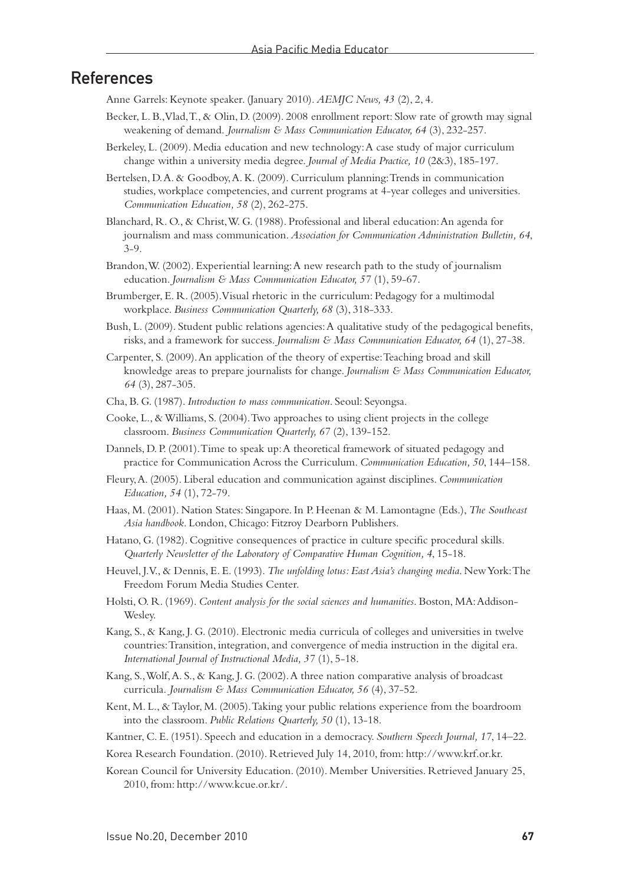#### References

Anne Garrels: Keynote speaker. (January 2010). *AEMJC News, 43* (2), 2, 4.

- Becker, L. B., Vlad, T., & Olin, D. (2009). 2008 enrollment report: Slow rate of growth may signal weakening of demand. *Journalism & Mass Communication Educator, 64* (3), 232-257.
- Berkeley, L. (2009). Media education and new technology: A case study of major curriculum change within a university media degree. *Journal of Media Practice, 10* (2&3), 185-197.
- Bertelsen, D. A. & Goodboy, A. K. (2009). Curriculum planning: Trends in communication studies, workplace competencies, and current programs at 4-year colleges and universities. *Communication Education, 58* (2), 262-275.
- Blanchard, R. O., & Christ, W. G. (1988). Professional and liberal education: An agenda for journalism and mass communication. *Association for Communication Administration Bulletin, 64*, 3-9.
- Brandon, W. (2002). Experiential learning: A new research path to the study of journalism education. *Journalism & Mass Communication Educator, 57* (1), 59-67.
- Brumberger, E. R. (2005). Visual rhetoric in the curriculum: Pedagogy for a multimodal workplace. *Business Communication Quarterly, 68* (3), 318-333.
- Bush, L. (2009). Student public relations agencies: A qualitative study of the pedagogical benefits, risks, and a framework for success. *Journalism & Mass Communication Educator, 64* (1), 27-38.
- Carpenter, S. (2009). An application of the theory of expertise: Teaching broad and skill knowledge areas to prepare journalists for change. *Journalism & Mass Communication Educator, 64* (3), 287-305.
- Cha, B. G. (1987). *Introduction to mass communication*. Seoul: Seyongsa.
- Cooke, L., & Williams, S. (2004). Two approaches to using client projects in the college classroom. *Business Communication Quarterly, 67* (2), 139-152.
- Dannels, D. P. (2001). Time to speak up: A theoretical framework of situated pedagogy and practice for Communication Across the Curriculum. *Communication Education, 50*, 144–158.
- Fleury, A. (2005). Liberal education and communication against disciplines. *Communication Education, 54* (1), 72-79.
- Haas, M. (2001). Nation States: Singapore. In P. Heenan & M. Lamontagne (Eds.), *The Southeast Asia handbook*. London, Chicago: Fitzroy Dearborn Publishers.
- Hatano, G. (1982). Cognitive consequences of practice in culture specific procedural skills. *Quarterly Newsletter of the Laboratory of Comparative Human Cognition, 4*, 15-18.
- Heuvel, J. V., & Dennis, E. E. (1993). *The unfolding lotus: East Asia's changing media*. New York: The Freedom Forum Media Studies Center.
- Holsti, O. R. (1969). *Content analysis for the social sciences and humanities*. Boston, MA: Addison-Wesley.
- Kang, S., & Kang, J. G. (2010). Electronic media curricula of colleges and universities in twelve countries: Transition, integration, and convergence of media instruction in the digital era. *International Journal of Instructional Media, 37* (1), 5-18.
- Kang, S., Wolf, A. S., & Kang, J. G. (2002). A three nation comparative analysis of broadcast curricula. *Journalism & Mass Communication Educator, 56* (4), 37-52.
- Kent, M. L., & Taylor, M. (2005). Taking your public relations experience from the boardroom into the classroom. *Public Relations Quarterly, 50* (1), 13-18.
- Kantner, C. E. (1951). Speech and education in a democracy. *Southern Speech Journal, 17*, 14–22.
- Korea Research Foundation. (2010). Retrieved July 14, 2010, from: http://www.krf.or.kr.
- Korean Council for University Education. (2010). Member Universities. Retrieved January 25, 2010, from: http://www.kcue.or.kr/.